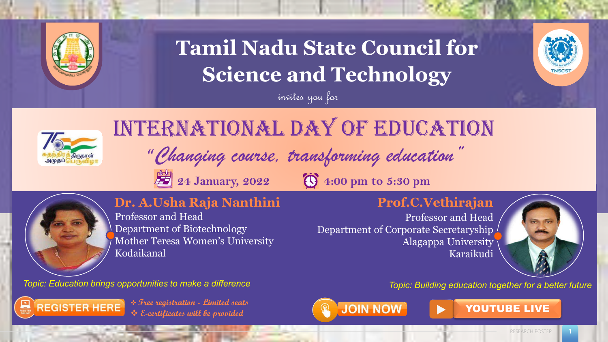

# **Tamil Nadu State Council for Science and Technology**





# International Day of Education

invites you for

"Changing course, transforming education" **24 January, 2022 3 4:00 pm to 5:30 pm** 



### **Dr. A.Usha Raja Nanthini**

Professor and Head Department of Biotechnology Mother Teresa Women's University Kodaikanal

*Topic: Education brings opportunities to make a difference Topic: Building education together for a better future*



**◆** Free registration - Limited seats  $\bigcirc$  **VOUTUBE LIVE** ❖ **E-certificates will be provided**



Karaikudi

Professor and Head

**Prof.C.Vethirajan**

Alagappa University

Department of Corporate Secretaryship



RESEARCH POSTER **1**